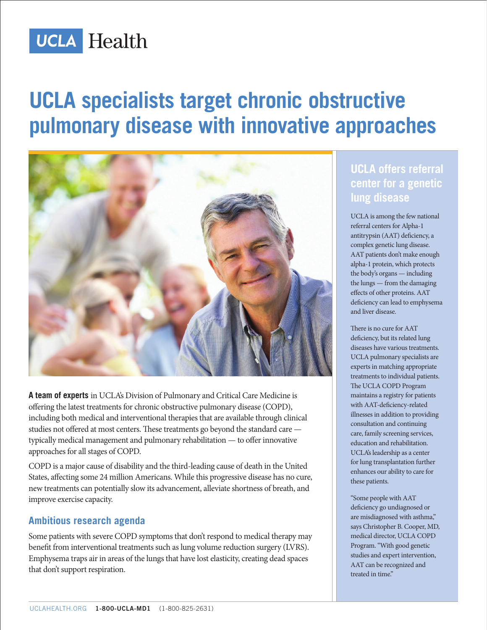

# **UCLA specialists target chronic obstructive pulmonary disease with innovative approaches**



**A team of experts** in UCLA's Division of Pulmonary and Critical Care Medicine is offering the latest treatments for chronic obstructive pulmonary disease (COPD), including both medical and interventional therapies that are available through clinical studies not offered at most centers. These treatments go beyond the standard care typically medical management and pulmonary rehabilitation — to offer innovative approaches for all stages of COPD.

COPD is a major cause of disability and the third-leading cause of death in the United States, affecting some 24 million Americans. While this progressive disease has no cure, new treatments can potentially slow its advancement, alleviate shortness of breath, and improve exercise capacity.

#### **Ambitious research agenda**

Some patients with severe COPD symptoms that don't respond to medical therapy may benefit from interventional treatments such as lung volume reduction surgery (LVRS). Emphysema traps air in areas of the lungs that have lost elasticity, creating dead spaces that don't support respiration.

### **UCLA offers referral center for a genetic lung disease**

UCLA is among the few national referral centers for Alpha-1 antitrypsin (AAT) deficiency, a complex genetic lung disease. AAT patients don't make enough alpha-1 protein, which protects the body's organs — including the lungs — from the damaging effects of other proteins. AAT deficiency can lead to emphysema and liver disease.

There is no cure for AAT deficiency, but its related lung diseases have various treatments. UCLA pulmonary specialists are experts in matching appropriate treatments to individual patients. The UCLA COPD Program maintains a registry for patients with AAT-deficiency-related illnesses in addition to providing consultation and continuing care, family screening services, education and rehabilitation. UCLA's leadership as a center for lung transplantation further enhances our ability to care for these patients.

"Some people with AAT deficiency go undiagnosed or are misdiagnosed with asthma," says Christopher B. Cooper, MD, medical director, UCLA COPD Program. "With good genetic studies and expert intervention, AAT can be recognized and treated in time."